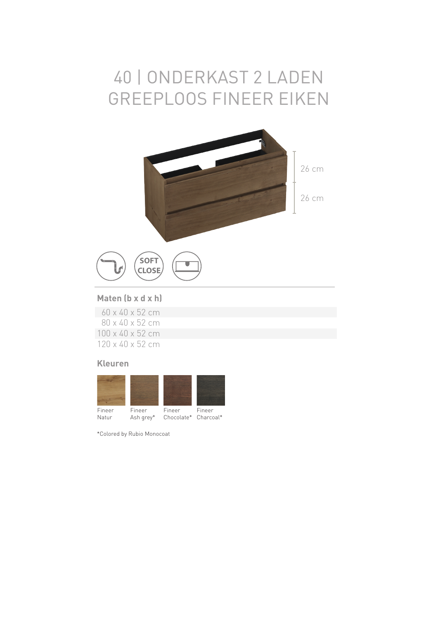### 40 | ONDERKAST 2 LADEN GREEPLOOS FINEER EIKEN



### **Maten (b x d x h)**

|                              |  |  | 60 x 40 x 52 cm |
|------------------------------|--|--|-----------------|
|                              |  |  | 80 x 40 x 52 cm |
| $100 \times 40 \times 52$ cm |  |  |                 |
| 120 x 40 x 52 cm             |  |  |                 |

#### **Kleuren**



\*Colored by Rubio Monocoat